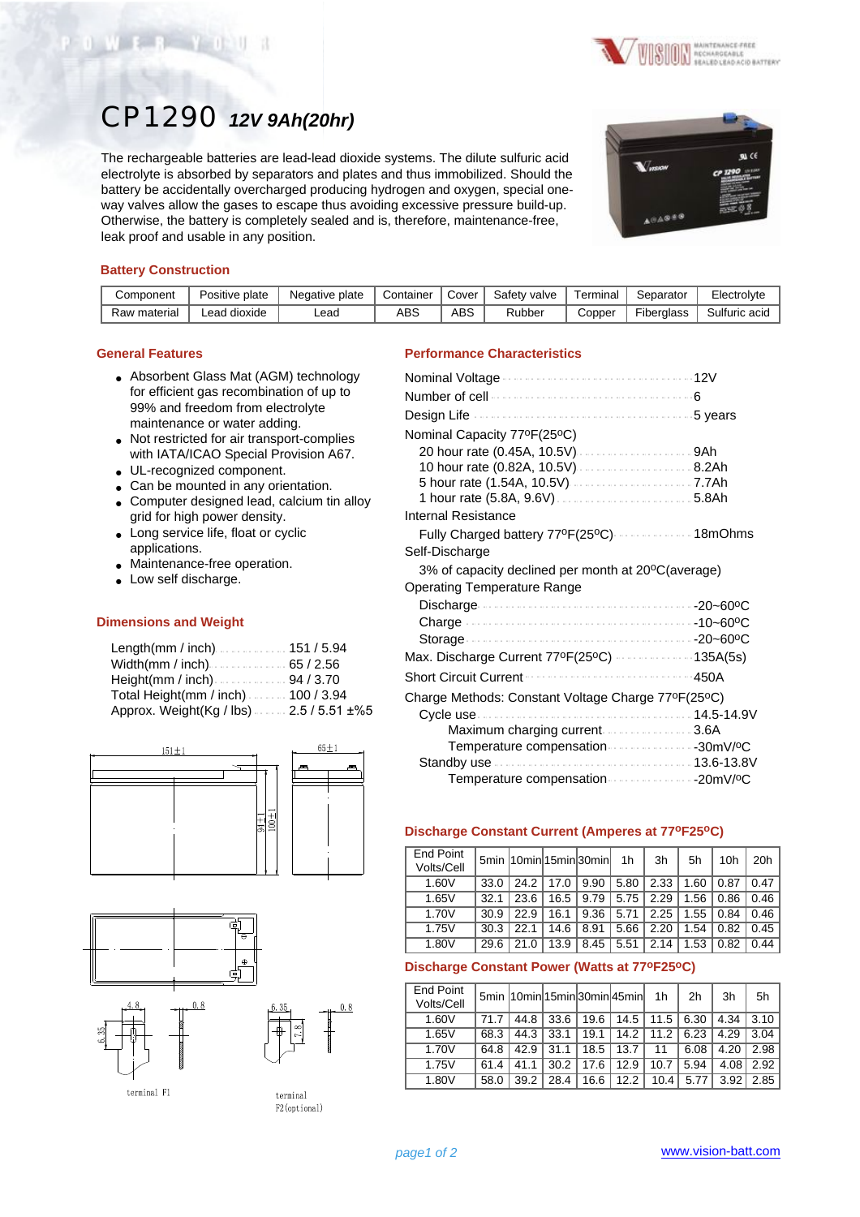



# CP1290 *12V 9Ah(20hr)*

The rechargeable batteries are lead-lead dioxide systems. The dilute sulfuric acid electrolyte is absorbed by separators and plates and thus immobilized. Should the battery be accidentally overcharged producing hydrogen and oxygen, special oneway valves allow the gases to escape thus avoiding excessive pressure build-up. Otherwise, the battery is completely sealed and is, therefore, maintenance-free, leak proof and usable in any position.



## **Battery Construction**

| Component    | Positive plate | Negative plate | Container | Cover | Safety valve | Terminal | Separator  | Electrolyte   |
|--------------|----------------|----------------|-----------|-------|--------------|----------|------------|---------------|
| Raw material | ead dioxide.   | ∟ead           | ABS       | ABS   | Rubber       | Copper   | Fiberglass | Sulfuric acid |

#### **General Features**

- Absorbent Glass Mat (AGM) technology for efficient gas recombination of up to 99% and freedom from electrolyte maintenance or water adding.
- Not restricted for air transport-complies with IATA/ICAO Special Provision A67.
- UL-recognized component.
- Can be mounted in any orientation.
- Computer designed lead, calcium tin alloy grid for high power density.
- Long service life, float or cyclic applications.
- Maintenance-free operation.
- Low self discharge.

#### **Dimensions and Weight**

| Length(mm / inch)151 / 5.94              |  |
|------------------------------------------|--|
|                                          |  |
| Height(mm / inch) $\ldots$ 94 / 3.70     |  |
| Total Height(mm / inch). 100 / 3.94      |  |
| Approx. Weight(Kg / lbs)  2.5 / 5.51 ±%5 |  |





terminal F1

terminal

F2(optional)

## **Performance Characteristics**

| Nominal Capacity 77ºF(25ºC)                        |      |
|----------------------------------------------------|------|
|                                                    |      |
|                                                    |      |
|                                                    |      |
|                                                    |      |
| Internal Resistance                                |      |
| Fully Charged battery 77ºF(25ºC)  18mOhms          |      |
| Self-Discharge                                     |      |
| 3% of capacity declined per month at 20°C(average) |      |
| <b>Operating Temperature Range</b>                 |      |
|                                                    |      |
|                                                    |      |
|                                                    |      |
| Max. Discharge Current 77ºF(25°C) 135A(5s)         |      |
| <b>Short Circuit Current</b><br>.                  | 450A |
| Charge Methods: Constant Voltage Charge 77°F(25°C) |      |
|                                                    |      |
| Maximum charging current 3.6A                      |      |
| Temperature compensation 30mV/ºC                   |      |
|                                                    |      |
| Temperature compensation 20mV/ºC                   |      |

### **Discharge Constant Current (Amperes at 77oF25oC)**

| <b>End Point</b><br>Volts/Cell |      |      |      | 5min  10min 15min 30min | 1 <sub>h</sub> | 3h   | 5h   | 10h  | 20h  |
|--------------------------------|------|------|------|-------------------------|----------------|------|------|------|------|
| 1.60V                          | 33.0 | 24.2 | 17.0 | 9.90                    | 5.80           | 2.33 | 1.60 | 0.87 | 0.47 |
| 1.65V                          | 32.1 | 23.6 | 16.5 | 9.79                    | 5.75           | 2.29 | 1.56 | 0.86 | 0.46 |
| 1.70V                          | 30.9 | 22.9 | 16.1 | 9.36                    | 5.71           | 2.25 | 1.55 | 0.84 | 0.46 |
| 1.75V                          | 30.3 | 22.1 | 14.6 | 8.91                    | 5.66           | 2.20 | 1.54 | 0.82 | 0.45 |
| 1.80V                          | 29.6 | 21.0 | 13.9 | 8.45                    | 5.51           | 2.14 | 1.53 | 0.82 | 0.44 |

## **Discharge Constant Power (Watts at 77oF25oC)**

| <b>End Point</b><br>Volts/Cell |      |      |      |      | 5min 10min 15min 30min 45min | 1 <sub>h</sub> | 2 <sub>h</sub> | 3h   | 5h   |
|--------------------------------|------|------|------|------|------------------------------|----------------|----------------|------|------|
| 1.60V                          | 71.7 | 44.8 | 33.6 | 19.6 | 14.5                         | $11.5$         | 6.30           | 4.34 | 3.10 |
| 1.65V                          | 68.3 | 44.3 | 33.1 | 19.1 | 14.2                         | 11.2           | 6.23           | 4.29 | 3.04 |
| 1.70V                          | 64.8 | 42.9 | 31.1 | 18.5 | 13.7                         | 11             | 6.08           | 4.20 | 2.98 |
| 1.75V                          | 61.4 | 41.1 | 30.2 | 17.6 | 12.9                         | 10.7           | 5.94           | 4.08 | 2.92 |
| 1.80V                          | 58.0 | 39.2 | 28.4 | 16.6 | 12.2                         | 10.4           | 5.77           | 3.92 | 2.85 |